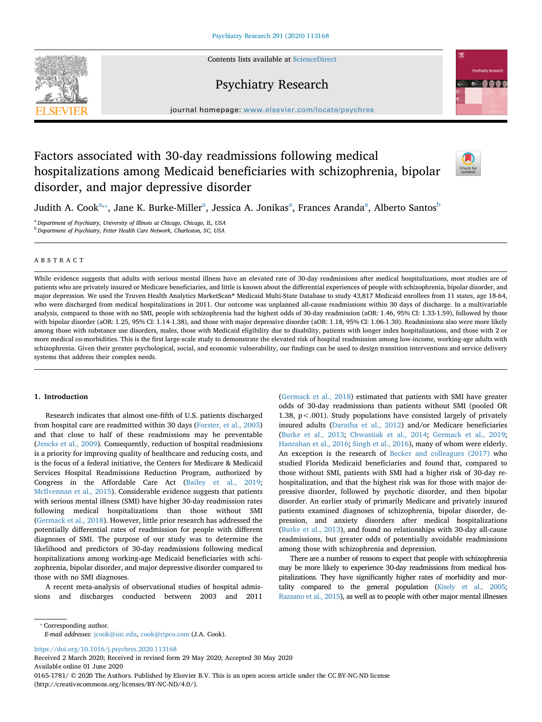Contents lists available at [ScienceDirect](http://www.sciencedirect.com/science/journal/01651781)





Psychiatry Research

journal homepage: [www.elsevier.com/locate/psychres](https://www.elsevier.com/locate/psychres)

# Factors associated with 30-day readmissions following medical hospitalizations among Medicaid beneficiaries with schizophrenia, bipolar disorder, and major depressive disorder



Judith A. Cook<sup>[a](#page-0-0),</sup>\*, Jane K. Burke-Miller<sup>a</sup>, Jessica A. Jonikas<sup>a</sup>, F[ra](#page-0-0)nces Aranda<sup>a</sup>, Al[b](#page-0-2)erto Santos<sup>b</sup>

<span id="page-0-2"></span><span id="page-0-0"></span><sup>a</sup> *Department of Psychiatry, University of Illinois at Chicago, Chicago, IL, USA* <sup>b</sup> *Department of Psychiatry, Fetter Health Care Network, Charleston, SC, USA*

# ABSTRACT

While evidence suggests that adults with serious mental illness have an elevated rate of 30-day readmissions after medical hospitalizations, most studies are of patients who are privately insured or Medicare beneficiaries, and little is known about the differential experiences of people with schizophrenia, bipolar disorder, and major depression. We used the Truven Health Analytics MarketScan® Medicaid Multi-State Database to study 43,817 Medicaid enrollees from 11 states, age 18-64, who were discharged from medical hospitalizations in 2011. Our outcome was unplanned all-cause readmissions within 30 days of discharge. In a multivariable analysis, compared to those with no SMI, people with schizophrenia had the highest odds of 30-day readmission (aOR: 1.46, 95% CI: 1.33-1.59), followed by those with bipolar disorder (aOR: 1.25, 95% CI: 1.14-1.38), and those with major depressive disorder (aOR: 1.18, 95% CI: 1.06-1.30). Readmissions also were more likely among those with substance use disorders, males, those with Medicaid eligibility due to disability, patients with longer index hospitalizations, and those with 2 or more medical co-morbidities. This is the first large-scale study to demonstrate the elevated risk of hospital readmission among low-income, working-age adults with schizophrenia. Given their greater psychological, social, and economic vulnerability, our findings can be used to design transition interventions and service delivery systems that address their complex needs.

#### **1. Introduction**

Research indicates that almost one-fifth of U.S. patients discharged from hospital care are readmitted within 30 days [\(Forster, et al., 2003\)](#page-5-0) and that close to half of these readmissions may be preventable ([Jencks et al., 2009\)](#page-5-1). Consequently, reduction of hospital readmissions is a priority for improving quality of healthcare and reducing costs, and is the focus of a federal initiative, the Centers for Medicare & Medicaid Services Hospital Readmissions Reduction Program, authorized by Congress in the Affordable Care Act ([Bailey et al., 2019](#page-5-2); [McIlvennan et al., 2015](#page-5-3)). Considerable evidence suggests that patients with serious mental illness (SMI) have higher 30-day readmission rates following medical hospitalizations than those without SMI ([Germack et al., 2018\)](#page-5-4). However, little prior research has addressed the potentially differential rates of readmission for people with different diagnoses of SMI. The purpose of our study was to determine the likelihood and predictors of 30-day readmissions following medical hospitalizations among working-age Medicaid beneficiaries with schizophrenia, bipolar disorder, and major depressive disorder compared to those with no SMI diagnoses.

A recent meta-analysis of observational studies of hospital admissions and discharges conducted between 2003 and 2011 ([Germack et al., 2018\)](#page-5-4) estimated that patients with SMI have greater odds of 30-day readmissions than patients without SMI (pooled OR 1.38, p<.001). Study populations have consisted largely of privately insured adults [\(Daratha et al., 2012\)](#page-5-5) and/or Medicare beneficiaries ([Burke et al., 2013](#page-5-6); [Chwastiak et al., 2014](#page-5-7); [Germack et al., 2019](#page-5-8); [Hanrahan et al., 2016](#page-5-9); [Singh et al., 2016](#page-5-10)), many of whom were elderly. An exception is the research of [Becker and colleagues \(2017\)](#page-5-11) who studied Florida Medicaid beneficiaries and found that, compared to those without SMI, patients with SMI had a higher risk of 30-day rehospitalization, and that the highest risk was for those with major depressive disorder, followed by psychotic disorder, and then bipolar disorder. An earlier study of primarily Medicare and privately insured patients examined diagnoses of schizophrenia, bipolar disorder, depression, and anxiety disorders after medical hospitalizations ([Burke et al., 2013](#page-5-6)), and found no relationships with 30-day all-cause readmissions, but greater odds of potentially avoidable readmissions among those with schizophrenia and depression.

There are a number of reasons to expect that people with schizophrenia may be more likely to experience 30-day readmissions from medical hospitalizations. They have significantly higher rates of morbidity and mortality compared to the general population ([Kisely et al., 2005](#page-5-12); [Razzano et al., 2015\)](#page-5-13), as well as to people with other major mental illnesses

<span id="page-0-1"></span>⁎ Corresponding author.

*E-mail addresses:* [jcook@uic.edu](mailto:jcook@uic.edu), [cook@ripco.com](mailto:cook@ripco.com) (J.A. Cook).

<https://doi.org/10.1016/j.psychres.2020.113168>

Received 2 March 2020; Received in revised form 29 May 2020; Accepted 30 May 2020 Available online 01 June 2020

0165-1781/ © 2020 The Authors. Published by Elsevier B.V. This is an open access article under the CC BY-NC-ND license (http://creativecommons.org/licenses/BY-NC-ND/4.0/).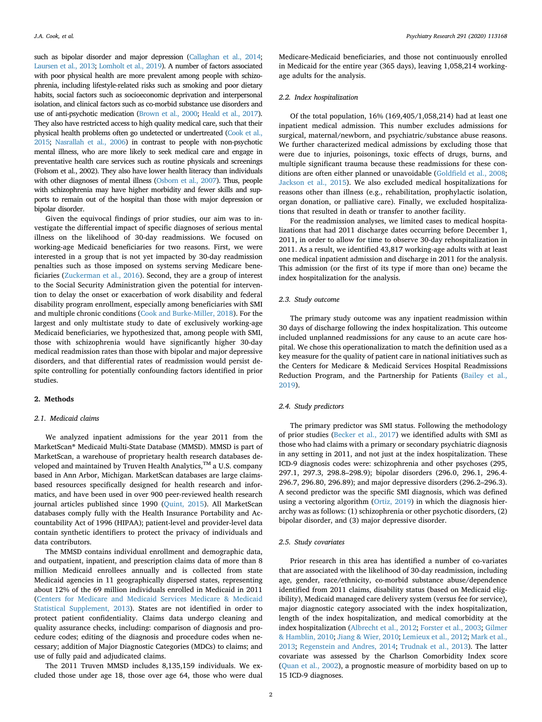such as bipolar disorder and major depression [\(Callaghan et al., 2014](#page-5-14); [Laursen et al., 2013](#page-5-15); [Lomholt et al., 2019\)](#page-5-16). A number of factors associated with poor physical health are more prevalent among people with schizophrenia, including lifestyle-related risks such as smoking and poor dietary habits, social factors such as socioeconomic deprivation and interpersonal isolation, and clinical factors such as co-morbid substance use disorders and use of anti-psychotic medication [\(Brown et al., 2000;](#page-5-17) [Heald et al., 2017\)](#page-5-18). They also have restricted access to high quality medical care, such that their physical health problems often go undetected or undertreated [\(Cook et al.,](#page-5-19) [2015;](#page-5-19) [Nasrallah et al., 2006\)](#page-5-20) in contrast to people with non-psychotic mental illness, who are more likely to seek medical care and engage in preventative health care services such as routine physicals and screenings (Folsom et al., 2002). They also have lower health literacy than individuals with other diagnoses of mental illness [\(Osborn et al., 2007\)](#page-5-21). Thus, people with schizophrenia may have higher morbidity and fewer skills and supports to remain out of the hospital than those with major depression or bipolar disorder.

Given the equivocal findings of prior studies, our aim was to investigate the differential impact of specific diagnoses of serious mental illness on the likelihood of 30-day readmissions. We focused on working-age Medicaid beneficiaries for two reasons. First, we were interested in a group that is not yet impacted by 30-day readmission penalties such as those imposed on systems serving Medicare beneficiaries ([Zuckerman et al., 2016\)](#page-5-22). Second, they are a group of interest to the Social Security Administration given the potential for intervention to delay the onset or exacerbation of work disability and federal disability program enrollment, especially among beneficiaries with SMI and multiple chronic conditions ([Cook and Burke-Miller, 2018](#page-5-23)). For the largest and only multistate study to date of exclusively working-age Medicaid beneficiaries, we hypothesized that, among people with SMI, those with schizophrenia would have significantly higher 30-day medical readmission rates than those with bipolar and major depressive disorders, and that differential rates of readmission would persist despite controlling for potentially confounding factors identified in prior studies.

## **2. Methods**

## *2.1. Medicaid claims*

We analyzed inpatient admissions for the year 2011 from the MarketScan® Medicaid Multi-State Database (MMSD). MMSD is part of MarketScan, a warehouse of proprietary health research databases developed and maintained by Truven Health Analytics,<sup>TM</sup> a U.S. company based in Ann Arbor, Michigan. MarketScan databases are large claimsbased resources specifically designed for health research and informatics, and have been used in over 900 peer-reviewed health research journal articles published since 1990 [\(Quint, 2015](#page-5-24)). All MarketScan databases comply fully with the Health Insurance Portability and Accountability Act of 1996 (HIPAA); patient-level and provider-level data contain synthetic identifiers to protect the privacy of individuals and data contributors.

The MMSD contains individual enrollment and demographic data, and outpatient, inpatient, and prescription claims data of more than 8 million Medicaid enrollees annually and is collected from state Medicaid agencies in 11 geographically dispersed states, representing about 12% of the 69 million individuals enrolled in Medicaid in 2011 ([Centers for Medicare and Medicaid Services Medicare & Medicaid](#page-5-25) [Statistical Supplement, 2013\)](#page-5-25). States are not identified in order to protect patient confidentiality. Claims data undergo cleaning and quality assurance checks, including: comparison of diagnosis and procedure codes; editing of the diagnosis and procedure codes when necessary; addition of Major Diagnostic Categories (MDCs) to claims; and use of fully paid and adjudicated claims.

The 2011 Truven MMSD includes 8,135,159 individuals. We excluded those under age 18, those over age 64, those who were dual Medicare-Medicaid beneficiaries, and those not continuously enrolled in Medicaid for the entire year (365 days), leaving 1,058,214 workingage adults for the analysis.

## *2.2. Index hospitalization*

Of the total population, 16% (169,405/1,058,214) had at least one inpatient medical admission. This number excludes admissions for surgical, maternal/newborn, and psychiatric/substance abuse reasons. We further characterized medical admissions by excluding those that were due to injuries, poisonings, toxic effects of drugs, burns, and multiple significant trauma because these readmissions for these conditions are often either planned or unavoidable [\(Goldfield et al., 2008](#page-5-26); [Jackson et al., 2015\)](#page-5-27). We also excluded medical hospitalizations for reasons other than illness (e.g., rehabilitation, prophylactic isolation, organ donation, or palliative care). Finally, we excluded hospitalizations that resulted in death or transfer to another facility.

For the readmission analyses, we limited cases to medical hospitalizations that had 2011 discharge dates occurring before December 1, 2011, in order to allow for time to observe 30-day rehospitalization in 2011. As a result, we identified 43,817 working-age adults with at least one medical inpatient admission and discharge in 2011 for the analysis. This admission (or the first of its type if more than one) became the index hospitalization for the analysis.

#### *2.3. Study outcome*

The primary study outcome was any inpatient readmission within 30 days of discharge following the index hospitalization. This outcome included unplanned readmissions for any cause to an acute care hospital. We chose this operationalization to match the definition used as a key measure for the quality of patient care in national initiatives such as the Centers for Medicare & Medicaid Services Hospital Readmissions Reduction Program, and the Partnership for Patients [\(Bailey et al.,](#page-5-2) [2019\)](#page-5-2).

## *2.4. Study predictors*

The primary predictor was SMI status. Following the methodology of prior studies [\(Becker et al., 2017\)](#page-5-11) we identified adults with SMI as those who had claims with a primary or secondary psychiatric diagnosis in any setting in 2011, and not just at the index hospitalization. These ICD-9 diagnosis codes were: schizophrenia and other psychoses (295, 297.1, 297.3, 298.8–298.9); bipolar disorders (296.0, 296.1, 296.4- 296.7, 296.80, 296.89); and major depressive disorders (296.2–296.3). A second predictor was the specific SMI diagnosis, which was defined using a vectoring algorithm [\(Ortiz, 2019\)](#page-5-28) in which the diagnosis hierarchy was as follows: (1) schizophrenia or other psychotic disorders, (2) bipolar disorder, and (3) major depressive disorder.

## *2.5. Study covariates*

Prior research in this area has identified a number of co-variates that are associated with the likelihood of 30-day readmission, including age, gender, race/ethnicity, co-morbid substance abuse/dependence identified from 2011 claims, disability status (based on Medicaid eligibility), Medicaid managed care delivery system (versus fee for service), major diagnostic category associated with the index hospitalization, length of the index hospitalization, and medical comorbidity at the index hospitalization ([Albrecht et al., 2012;](#page-5-29) [Forster et al., 2003](#page-5-0); [Gilmer](#page-5-30) [& Hamblin, 2010;](#page-5-30) [Jiang & Wier, 2010](#page-5-31); [Lemieux et al., 2012;](#page-5-32) [Mark et al.,](#page-5-33) [2013;](#page-5-33) [Regenstein and Andres, 2014;](#page-5-34) [Trudnak et al., 2013](#page-5-35)). The latter covariate was assessed by the Charlson Comorbidity Index score ([Quan et al., 2002\)](#page-5-36), a prognostic measure of morbidity based on up to 15 ICD-9 diagnoses.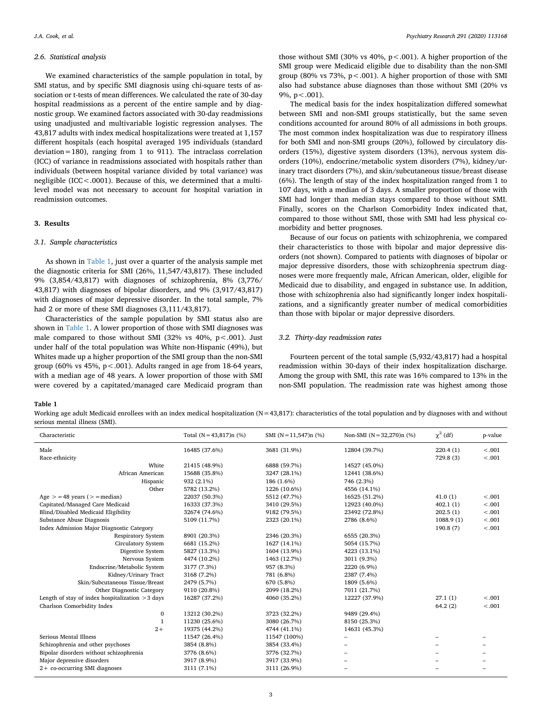#### *2.6. Statistical analysis*

We examined characteristics of the sample population in total, by SMI status, and by specific SMI diagnosis using chi-square tests of association or t-tests of mean differences. We calculated the rate of 30-day hospital readmissions as a percent of the entire sample and by diagnostic group. We examined factors associated with 30-day readmissions using unadjusted and multivariable logistic regression analyses. The 43,817 adults with index medical hospitalizations were treated at 1,157 different hospitals (each hospital averaged 195 individuals (standard deviation=180), ranging from 1 to 911). The intraclass correlation (ICC) of variance in readmissions associated with hospitals rather than individuals (between hospital variance divided by total variance) was negligible (ICC<.0001). Because of this, we determined that a multilevel model was not necessary to account for hospital variation in readmission outcomes.

## **3. Results**

#### *3.1. Sample characteristics*

As shown in [Table 1](#page-2-0), just over a quarter of the analysis sample met the diagnostic criteria for SMI (26%, 11,547/43,817). These included 9% (3,854/43,817) with diagnoses of schizophrenia, 8% (3,776/ 43,817) with diagnoses of bipolar disorders, and 9% (3,917/43,817) with diagnoses of major depressive disorder. In the total sample, 7% had 2 or more of these SMI diagnoses (3,111/43,817).

Characteristics of the sample population by SMI status also are shown in [Table 1.](#page-2-0) A lower proportion of those with SMI diagnoses was male compared to those without SMI (32% vs  $40\%$ ,  $p < .001$ ). Just under half of the total population was White non-Hispanic (49%), but Whites made up a higher proportion of the SMI group than the non-SMI group (60% vs 45%, p<.001). Adults ranged in age from 18-64 years, with a median age of 48 years. A lower proportion of those with SMI were covered by a capitated/managed care Medicaid program than

those without SMI (30% vs 40%,  $p < .001$ ). A higher proportion of the SMI group were Medicaid eligible due to disability than the non-SMI group (80% vs 73%,  $p < .001$ ). A higher proportion of those with SMI also had substance abuse diagnoses than those without SMI (20% vs 9%,  $p < .001$ ).

The medical basis for the index hospitalization differed somewhat between SMI and non-SMI groups statistically, but the same seven conditions accounted for around 80% of all admissions in both groups. The most common index hospitalization was due to respiratory illness for both SMI and non-SMI groups (20%), followed by circulatory disorders (15%), digestive system disorders (13%), nervous system disorders (10%), endocrine/metabolic system disorders (7%), kidney/urinary tract disorders (7%), and skin/subcutaneous tissue/breast disease (6%). The length of stay of the index hospitalization ranged from 1 to 107 days, with a median of 3 days. A smaller proportion of those with SMI had longer than median stays compared to those without SMI. Finally, scores on the Charlson Comorbidity Index indicated that, compared to those without SMI, those with SMI had less physical comorbidity and better prognoses.

Because of our focus on patients with schizophrenia, we compared their characteristics to those with bipolar and major depressive disorders (not shown). Compared to patients with diagnoses of bipolar or major depressive disorders, those with schizophrenia spectrum diagnoses were more frequently male, African American, older, eligible for Medicaid due to disability, and engaged in substance use. In addition, those with schizophrenia also had significantly longer index hospitalizations, and a significantly greater number of medical comorbidities than those with bipolar or major depressive disorders.

## *3.2. Thirty-day readmission rates*

Fourteen percent of the total sample (5,932/43,817) had a hospital readmission within 30-days of their index hospitalization discharge. Among the group with SMI, this rate was 16% compared to 13% in the non-SMI population. The readmission rate was highest among those

<span id="page-2-0"></span>**Table 1**

Working age adult Medicaid enrollees with an index medical hospitalization (N=43,817): characteristics of the total population and by diagnoses with and without serious mental illness (SMI).

| Characteristic                                    | Total $(N = 43,817)$ n $(\%)$ | SMI $(N=11,547)$ n $(\%)$ | Non-SMI $(N = 32,270)$ n $(\%)$ | $\chi^2$ (df) | p-value |
|---------------------------------------------------|-------------------------------|---------------------------|---------------------------------|---------------|---------|
| Male                                              | 16485 (37.6%)                 | 3681 (31.9%)              | 12804 (39.7%)                   | 220.4(1)      | < .001  |
| Race-ethnicity                                    |                               |                           |                                 | 729.8(3)      | $-.001$ |
| White                                             | 21415 (48.9%)                 | 6888 (59.7%)              | 14527 (45.0%)                   |               |         |
| African American                                  | 15688 (35.8%)                 | 3247 (28.1%)              | 12441 (38.6%)                   |               |         |
| Hispanic                                          | 932 (2.1%)                    | 186 (1.6%)                | 746 (2.3%)                      |               |         |
| Other                                             | 5782 (13.2%)                  | 1226 (10.6%)              | 4556 (14.1%)                    |               |         |
| Age $>$ = 48 years ( $>$ = median)                | 22037 (50.3%)                 | 5512 (47.7%)              | 16525 (51.2%)                   | 41.0(1)       | $-.001$ |
| Capitated/Managed Care Medicaid                   | 16333 (37.3%)                 | 3410 (29.5%)              | 12923 (40.0%)                   | 402.1(1)      | $-.001$ |
| Blind/Disabled Medicaid Eligibility               | 32674 (74.6%)                 | 9182 (79.5%)              | 23492 (72.8%)                   | 202.5(1)      | < .001  |
| Substance Abuse Diagnosis                         | 5109 (11.7%)                  | 2323 (20.1%)              | 2786 (8.6%)                     | 1088.9(1)     | $-.001$ |
| Index Admission Major Diagnostic Category         |                               |                           |                                 | 190.8(7)      | < .001  |
| <b>Respiratory System</b>                         | 8901 (20.3%)                  | 2346 (20.3%)              | 6555 (20.3%)                    |               |         |
| <b>Circulatory System</b>                         | 6681 (15.2%)                  | 1627 (14.1%)              | 5054 (15.7%)                    |               |         |
| Digestive System                                  | 5827 (13.3%)                  | 1604 (13.9%)              | 4223 (13.1%)                    |               |         |
| Nervous System                                    | 4474 (10.2%)                  | 1463 (12.7%)              | 3011 (9.3%)                     |               |         |
| Endocrine/Metabolic System                        | 3177 (7.3%)                   | 957 (8.3%)                | 2220 (6.9%)                     |               |         |
| Kidney/Urinary Tract                              | 3168 (7.2%)                   | 781 (6.8%)                | 2387 (7.4%)                     |               |         |
| Skin/Subcutaneous Tissue/Breast                   | 2479 (5.7%)                   | 670 (5.8%)                | 1809 (5.6%)                     |               |         |
| Other Diagnostic Category                         | 9110 (20.8%)                  | 2099 (18.2%)              | 7011 (21.7%)                    |               |         |
| Length of stay of index hospitalization $>3$ days | 16287 (37.2%)                 | 4060 (35.2%)              | 12227 (37.9%)                   | 27.1(1)       | $-.001$ |
| Charlson Comorbidity Index                        |                               |                           |                                 | 64.2(2)       | $-.001$ |
| $\bf{0}$                                          | 13212 (30.2%)                 | 3723 (32.2%)              | 9489 (29.4%)                    |               |         |
| $\mathbf{1}$                                      | 11230 (25.6%)                 | 3080 (26.7%)              | 8150 (25.3%)                    |               |         |
| $2+$                                              | 19375 (44.2%)                 | 4744 (41.1%)              | 14631 (45.3%)                   |               |         |
| Serious Mental Illness                            | 11547 (26.4%)                 | 11547 (100%)              | -                               |               |         |
| Schizophrenia and other psychoses                 | 3854 (8.8%)                   | 3854 (33.4%)              |                                 |               |         |
| Bipolar disorders without schizophrenia           | 3776 (8.6%)                   | 3776 (32.7%)              |                                 |               |         |
| Major depressive disorders                        | 3917 (8.9%)                   | 3917 (33.9%)              |                                 |               |         |
| 2+ co-occurring SMI diagnoses                     | 3111 (7.1%)                   | 3111 (26.9%)              |                                 |               |         |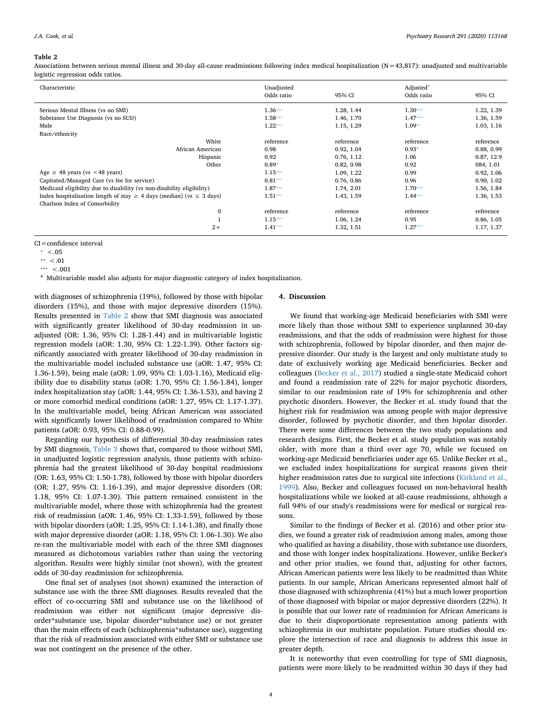#### <span id="page-3-0"></span>**Table 2**

Associations between serious mental illness and 30-day all-cause readmissions following index medical hospitalization (N=43,817): unadjusted and multivariable logistic regression odds ratios.

| Characteristic                                                                 | Unadjusted<br>Odds ratio | 95% CI     | Adjusted <sup>a</sup><br>Odds ratio | 95% CI     |
|--------------------------------------------------------------------------------|--------------------------|------------|-------------------------------------|------------|
|                                                                                |                          |            |                                     |            |
| Serious Mental Illness (vs no SMI)                                             | $1.36***$                | 1.28, 1.44 | $1.30***$                           | 1.22, 1.39 |
| Substance Use Diagnosis (vs no SUD)                                            | $1.58***$                | 1.46, 1.70 | $1.47***$                           | 1.36, 1.59 |
| Male                                                                           | $1.22***$                | 1.15, 1.29 | $1.09**$                            | 1.03, 1.16 |
| Race/ethnicity                                                                 |                          |            |                                     |            |
| White                                                                          | reference                | reference  | reference                           | reference  |
| African American                                                               | 0.98                     | 0.92, 1.04 | $0.93*$                             | 0.88, 0.99 |
| Hispanic                                                                       | 0.92                     | 0.76, 1.12 | 1.06                                | 0.87, 12.9 |
| Other                                                                          | $0.89*$                  | 0.82, 0.98 | 0.92                                | 084, 1.01  |
| Age $\geq$ 48 years (vs < 48 years)                                            | $1.15***$                | 1.09, 1.22 | 0.99                                | 0.92, 1.06 |
| Capitated/Managed Care (vs fee for service)                                    | $0.81***$                | 0.76, 0.86 | 0.96                                | 0.90, 1.02 |
| Medicaid eligibility due to disability (vs non-disability eligibility)         | $1.87***$                | 1.74, 2.01 | $1.70***$                           | 1.56, 1.84 |
| Index hospitalization length of stay $\geq 4$ days (median) (vs $\leq 3$ days) | $1.51***$                | 1.43, 1.59 | $1.44***$                           | 1.36, 1.53 |
| Charlson Index of Comorbidity                                                  |                          |            |                                     |            |
| $\mathbf{0}$                                                                   | reference                | reference  | reference                           | reference  |
|                                                                                | $1.15***$                | 1.06, 1.24 | 0.95                                | 0.86, 1.05 |
| $2+$                                                                           | $1.41***$                | 1.32, 1.51 | $1.27***$                           | 1.17, 1.37 |

CI=confidence interval

<span id="page-3-1"></span><sup>a</sup> Multivariable model also adjusts for major diagnostic category of index hospitalization.

with diagnoses of schizophrenia (19%), followed by those with bipolar disorders (15%), and those with major depressive disorders (15%). Results presented in [Table 2](#page-3-0) show that SMI diagnosis was associated with significantly greater likelihood of 30-day readmission in unadjusted (OR: 1.36, 95% CI: 1.28-1.44) and in multivariable logistic regression models (aOR: 1.30, 95% CI: 1.22-1.39). Other factors significantly associated with greater likelihood of 30-day readmission in the multivariable model included substance use (aOR: 1.47, 95% CI: 1.36-1.59), being male (aOR: 1.09, 95% CI: 1.03-1.16), Medicaid eligibility due to disability status (aOR: 1.70, 95% CI: 1.56-1.84), longer index hospitalization stay (aOR: 1.44, 95% CI: 1.36-1.53), and having 2 or more comorbid medical conditions (aOR: 1.27, 95% CI: 1.17-1.37). In the multivariable model, being African American was associated with significantly lower likelihood of readmission compared to White patients (aOR: 0.93, 95% CI: 0.88-0.99).

Regarding our hypothesis of differential 30-day readmission rates by SMI diagnosis, [Table 3](#page-4-0) shows that, compared to those without SMI, in unadjusted logistic regression analysis, those patients with schizophrenia had the greatest likelihood of 30-day hospital readmissions (OR: 1.63, 95% CI: 1.50-1.78), followed by those with bipolar disorders (OR: 1.27, 95% CI: 1.16-1.39), and major depressive disorders (OR: 1.18, 95% CI: 1.07-1.30). This pattern remained consistent in the multivariable model, where those with schizophrenia had the greatest risk of readmission (aOR: 1.46, 95% CI: 1.33-1.59), followed by those with bipolar disorders (aOR: 1.25, 95% CI: 1.14-1.38), and finally those with major depressive disorder (aOR: 1.18, 95% CI: 1.06-1.30). We also re-ran the multivariable model with each of the three SMI diagnoses measured as dichotomous variables rather than using the vectoring algorithm. Results were highly similar (not shown), with the greatest odds of 30-day readmission for schizophrenia.

One final set of analyses (not shown) examined the interaction of substance use with the three SMI diagnoses. Results revealed that the effect of co-occurring SMI and substance use on the likelihood of readmission was either not significant (major depressive disorder\*substance use, bipolar disorder\*substance use) or not greater than the main effects of each (schizophrenia\*substance use), suggesting that the risk of readmission associated with either SMI or substance use was not contingent on the presence of the other.

## **4. Discussion**

We found that working-age Medicaid beneficiaries with SMI were more likely than those without SMI to experience unplanned 30-day readmissions, and that the odds of readmission were highest for those with schizophrenia, followed by bipolar disorder, and then major depressive disorder. Our study is the largest and only multistate study to date of exclusively working age Medicaid beneficiaries. Becker and colleagues ([Becker et al., 2017](#page-5-11)) studied a single-state Medicaid cohort and found a readmission rate of 22% for major psychotic disorders, similar to our readmission rate of 19% for schizophrenia and other psychotic disorders. However, the Becker et al. study found that the highest risk for readmission was among people with major depressive disorder, followed by psychotic disorder, and then bipolar disorder. There were some differences between the two study populations and research designs. First, the Becker et al. study population was notably older, with more than a third over age 70, while we focused on working-age Medicaid beneficiaries under age 65. Unlike Becker et al., we excluded index hospitalizations for surgical reasons given their higher readmission rates due to surgical site infections [\(Kirkland et al.,](#page-5-37) [1999\)](#page-5-37). Also, Becker and colleagues focused on non-behavioral health hospitalizations while we looked at all-cause readmissions, although a full 94% of our study's readmissions were for medical or surgical reasons.

Similar to the findings of Becker et al. (2016) and other prior studies, we found a greater risk of readmission among males, among those who qualified as having a disability, those with substance use disorders, and those with longer index hospitalizations. However, unlike Becker's and other prior studies, we found that, adjusting for other factors, African American patients were less likely to be readmitted than White patients. In our sample, African Americans represented almost half of those diagnosed with schizophrenia (41%) but a much lower proportion of those diagnosed with bipolar or major depressive disorders (22%). It is possible that our lower rate of readmission for African Americans is due to their disproportionate representation among patients with schizophrenia in our multistate population. Future studies should explore the intersection of race and diagnosis to address this issue in greater depth.

It is noteworthy that even controlling for type of SMI diagnosis, patients were more likely to be readmitted within 30 days if they had

<span id="page-3-4"></span> $* < .05$ 

<span id="page-3-3"></span> $***$  <.01

<span id="page-3-2"></span><sup>\*\*\*</sup>  $< .001$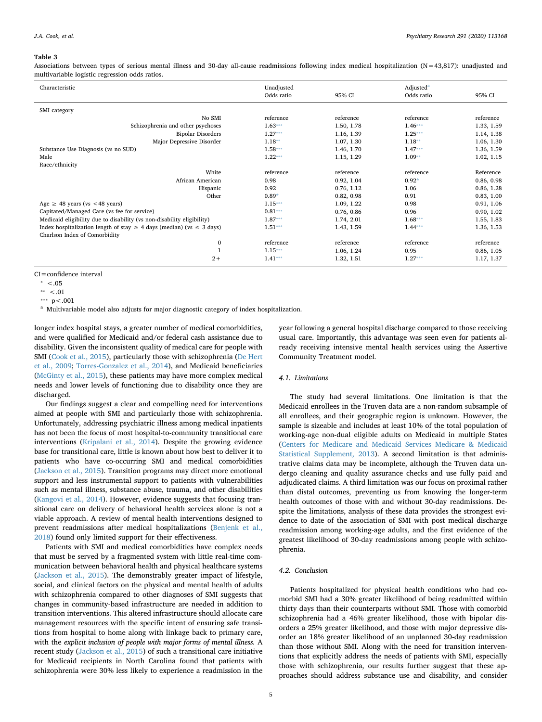#### <span id="page-4-0"></span>**Table 3**

Associations between types of serious mental illness and 30-day all-cause readmissions following index medical hospitalization (N=43,817): unadjusted and multivariable logistic regression odds ratios.

| Characteristic                                                                 | Unadjusted<br>Odds ratio | 95% CI     | Adjusted <sup>a</sup><br>Odds ratio | 95% CI     |
|--------------------------------------------------------------------------------|--------------------------|------------|-------------------------------------|------------|
|                                                                                |                          |            |                                     |            |
| SMI category                                                                   |                          |            |                                     |            |
| No SMI                                                                         | reference                | reference  | reference                           | reference  |
| Schizophrenia and other psychoses                                              | $1.63***$                | 1.50, 1.78 | $1.46***$                           | 1.33, 1.59 |
| <b>Bipolar Disorders</b>                                                       | $1.27***$                | 1.16, 1.39 | $1.25***$                           | 1.14, 1.38 |
| Major Depressive Disorder                                                      | $1.18**$                 | 1.07, 1.30 | $1.18**$                            | 1.06, 1.30 |
| Substance Use Diagnosis (vs no SUD)                                            | $1.58***$                | 1.46, 1.70 | $1.47***$                           | 1.36, 1.59 |
| Male                                                                           | $1.22***$                | 1.15, 1.29 | $1.09**$                            | 1.02, 1.15 |
| Race/ethnicity                                                                 |                          |            |                                     |            |
| White                                                                          | reference                | reference  | reference                           | Reference  |
| African American                                                               | 0.98                     | 0.92, 1.04 | $0.92*$                             | 0.86, 0.98 |
| Hispanic                                                                       | 0.92                     | 0.76, 1.12 | 1.06                                | 0.86, 1.28 |
| Other                                                                          | $0.89*$                  | 0.82, 0.98 | 0.91                                | 0.83, 1.00 |
| Age $\geq$ 48 years (vs < 48 years)                                            | $1.15***$                | 1.09, 1.22 | 0.98                                | 0.91, 1.06 |
| Capitated/Managed Care (vs fee for service)                                    | $0.81***$                | 0.76, 0.86 | 0.96                                | 0.90, 1.02 |
| Medicaid eligibility due to disability (vs non-disability eligibility)         | $1.87***$                | 1.74, 2.01 | $1.68***$                           | 1.55, 1.83 |
| Index hospitalization length of stay $\geq$ 4 days (median) (vs $\leq$ 3 days) | $1.51***$                | 1.43, 1.59 | $1.44***$                           | 1.36, 1.53 |
| Charlson Index of Comorbidity                                                  |                          |            |                                     |            |
| $\bf{0}$                                                                       | reference                | reference  | reference                           | reference  |
| $\mathbf{1}$                                                                   | $1.15***$                | 1.06, 1.24 | 0.95                                | 0.86, 1.05 |
| $2+$                                                                           | $1.41***$                | 1.32, 1.51 | $1.27***$                           | 1.17, 1.37 |

CI=confidence interval

<span id="page-4-2"></span>\*\*\*  $p < .001$ 

<span id="page-4-1"></span><sup>a</sup> Multivariable model also adjusts for major diagnostic category of index hospitalization.

longer index hospital stays, a greater number of medical comorbidities, and were qualified for Medicaid and/or federal cash assistance due to disability. Given the inconsistent quality of medical care for people with SMI ([Cook et al., 2015\)](#page-5-19), particularly those with schizophrenia [\(De Hert](#page-5-38) [et al., 2009;](#page-5-38) [Torres-Gonzalez et al., 2014\)](#page-5-39), and Medicaid beneficiaries ([McGinty et al., 2015](#page-5-40)), these patients may have more complex medical needs and lower levels of functioning due to disability once they are discharged.

Our findings suggest a clear and compelling need for interventions aimed at people with SMI and particularly those with schizophrenia. Unfortunately, addressing psychiatric illness among medical inpatients has not been the focus of most hospital-to-community transitional care interventions ([Kripalani et al., 2014\)](#page-5-41). Despite the growing evidence base for transitional care, little is known about how best to deliver it to patients who have co-occurring SMI and medical comorbidities ([Jackson et al., 2015](#page-5-27)). Transition programs may direct more emotional support and less instrumental support to patients with vulnerabilities such as mental illness, substance abuse, trauma, and other disabilities ([Kangovi et al., 2014\)](#page-5-42). However, evidence suggests that focusing transitional care on delivery of behavioral health services alone is not a viable approach. A review of mental health interventions designed to prevent readmissions after medical hospitalizations [\(Benjenk et al.,](#page-5-43) [2018\)](#page-5-43) found only limited support for their effectiveness.

Patients with SMI and medical comorbidities have complex needs that must be served by a fragmented system with little real-time communication between behavioral health and physical healthcare systems ([Jackson et al., 2015\)](#page-5-27). The demonstrably greater impact of lifestyle, social, and clinical factors on the physical and mental health of adults with schizophrenia compared to other diagnoses of SMI suggests that changes in community-based infrastructure are needed in addition to transition interventions. This altered infrastructure should allocate care management resources with the specific intent of ensuring safe transitions from hospital to home along with linkage back to primary care, with the *explicit inclusion of people with major forms of mental illness.* A recent study [\(Jackson et al., 2015](#page-5-27)) of such a transitional care initiative for Medicaid recipients in North Carolina found that patients with schizophrenia were 30% less likely to experience a readmission in the

year following a general hospital discharge compared to those receiving usual care. Importantly, this advantage was seen even for patients already receiving intensive mental health services using the Assertive Community Treatment model.

## *4.1. Limitations*

The study had several limitations. One limitation is that the Medicaid enrollees in the Truven data are a non-random subsample of all enrollees, and their geographic region is unknown. However, the sample is sizeable and includes at least 10% of the total population of working-age non-dual eligible adults on Medicaid in multiple States ([Centers for Medicare and Medicaid Services Medicare & Medicaid](#page-5-25) [Statistical Supplement, 2013\)](#page-5-25). A second limitation is that administrative claims data may be incomplete, although the Truven data undergo cleaning and quality assurance checks and use fully paid and adjudicated claims. A third limitation was our focus on proximal rather than distal outcomes, preventing us from knowing the longer-term health outcomes of those with and without 30-day readmissions. Despite the limitations, analysis of these data provides the strongest evidence to date of the association of SMI with post medical discharge readmission among working-age adults, and the first evidence of the greatest likelihood of 30-day readmissions among people with schizophrenia.

# *4.2. Conclusion*

Patients hospitalized for physical health conditions who had comorbid SMI had a 30% greater likelihood of being readmitted within thirty days than their counterparts without SMI. Those with comorbid schizophrenia had a 46% greater likelihood, those with bipolar disorders a 25% greater likelihood, and those with major depressive disorder an 18% greater likelihood of an unplanned 30-day readmission than those without SMI. Along with the need for transition interventions that explicitly address the needs of patients with SMI, especially those with schizophrenia, our results further suggest that these approaches should address substance use and disability, and consider

<span id="page-4-4"></span> $* < .05$ 

<span id="page-4-3"></span> $***$  <.01